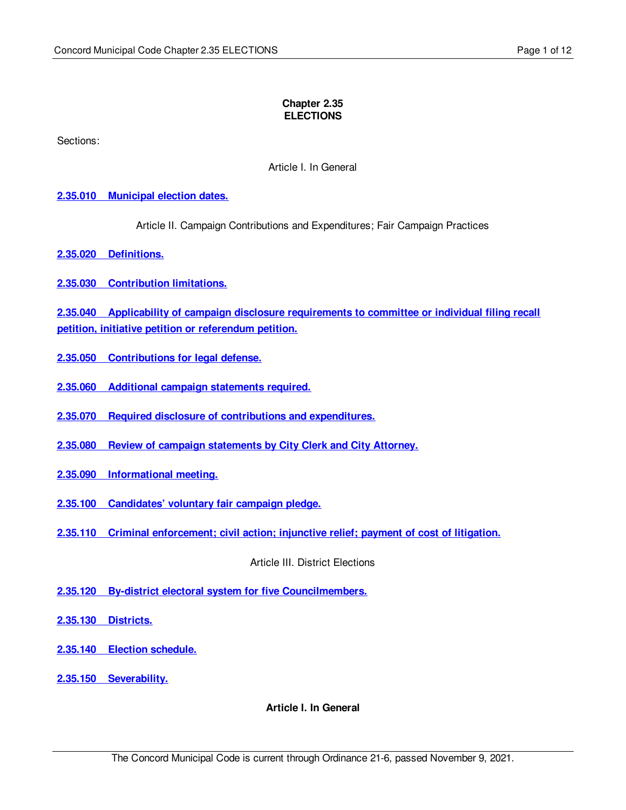#### **Chapter 2.35 ELECTIONS**

Sections:

Article I. In General

### **2.35.010 [Municipal](#page-1-0) election dates.**

Article II. Campaign Contributions and Expenditures; Fair Campaign Practices

**2.35.020 [Definitions.](#page-1-1)**

**2.35.030 [Contribution](#page-1-2) limitations.**

**2.35.040 Applicability of campaign disclosure [requirements](#page-3-0) to committee or individual filing recall petition, initiative petition or referendum petition.**

- **2.35.050 [Contributions](#page-3-1) for legal defense.**
- **2.35.060 Additional campaign [statements](#page-4-0) required.**
- **2.35.070 Required disclosure of contributions and [expenditures.](#page-4-1)**
- **2.35.080 Review of campaign [statements](#page-5-0) by City Clerk and City Attorney.**
- **2.35.090 [Informational](#page-5-1) meeting.**
- **2.35.100 [Candidates'](#page-5-2) voluntary fair campaign pledge.**
- **2.35.110 Criminal [enforcement;](#page-7-0) civil action; injunctive relief; payment of cost of litigation.**

Article III. District Elections

- **2.35.120 By-district electoral system for five [Councilmembers.](#page-8-0)**
- **2.35.130 [Districts.](#page-8-1)**
- **2.35.140 Election [schedule.](#page-11-0)**
- **2.35.150 [Severability.](#page-11-1)**

**Article I. In General**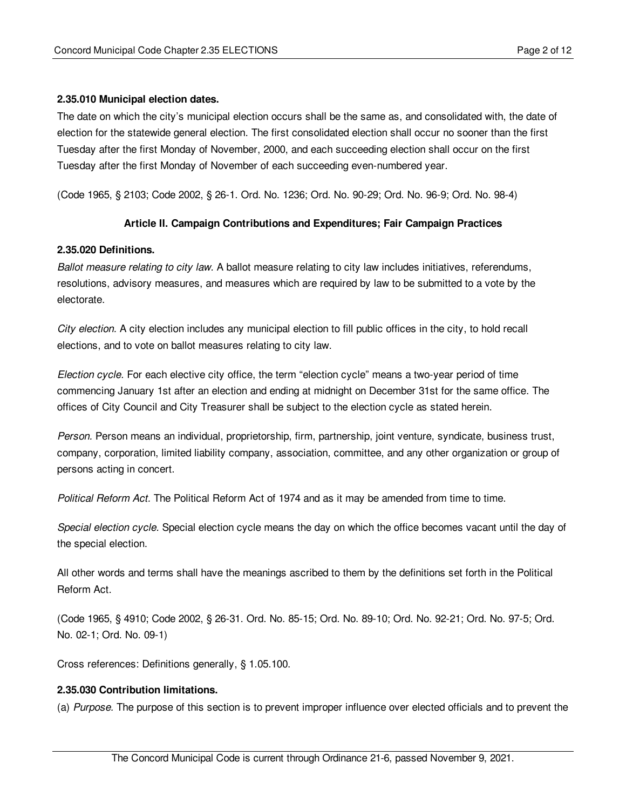#### <span id="page-1-0"></span>**2.35.010 Municipal election dates.**

The date on which the city's municipal election occurs shall be the same as, and consolidated with, the date of election for the statewide general election. The first consolidated election shall occur no sooner than the first Tuesday after the first Monday of November, 2000, and each succeeding election shall occur on the first Tuesday after the first Monday of November of each succeeding even-numbered year.

(Code 1965, § 2103; Code 2002, § 26-1. Ord. No. 1236; Ord. No. 90-29; Ord. No. 96-9; Ord. No. 98-4)

#### **Article II. Campaign Contributions and Expenditures; Fair Campaign Practices**

#### <span id="page-1-1"></span>**2.35.020 Definitions.**

*Ballot measure relating to city law.* A ballot measure relating to city law includes initiatives, referendums, resolutions, advisory measures, and measures which are required by law to be submitted to a vote by the electorate.

*City election.* A city election includes any municipal election to fill public offices in the city, to hold recall elections, and to vote on ballot measures relating to city law.

*Election cycle.* For each elective city office, the term "election cycle" means a two-year period of time commencing January 1st after an election and ending at midnight on December 31st for the same office. The offices of City Council and City Treasurer shall be subject to the election cycle as stated herein.

*Person.* Person means an individual, proprietorship, firm, partnership, joint venture, syndicate, business trust, company, corporation, limited liability company, association, committee, and any other organization or group of persons acting in concert.

*Political Reform Act.* The Political Reform Act of 1974 and as it may be amended from time to time.

*Special election cycle.* Special election cycle means the day on which the office becomes vacant until the day of the special election.

All other words and terms shall have the meanings ascribed to them by the definitions set forth in the Political Reform Act.

(Code 1965, § 4910; Code 2002, § 26-31. Ord. No. 85-15; Ord. No. 89-10; Ord. No. 92-21; Ord. No. 97-5; Ord. No. 02-1; Ord. No. 09-1)

Cross references: Definitions generally, § 1.05.100.

#### <span id="page-1-2"></span>**2.35.030 Contribution limitations.**

(a) *Purpose.* The purpose of this section is to prevent improper influence over elected officials and to prevent the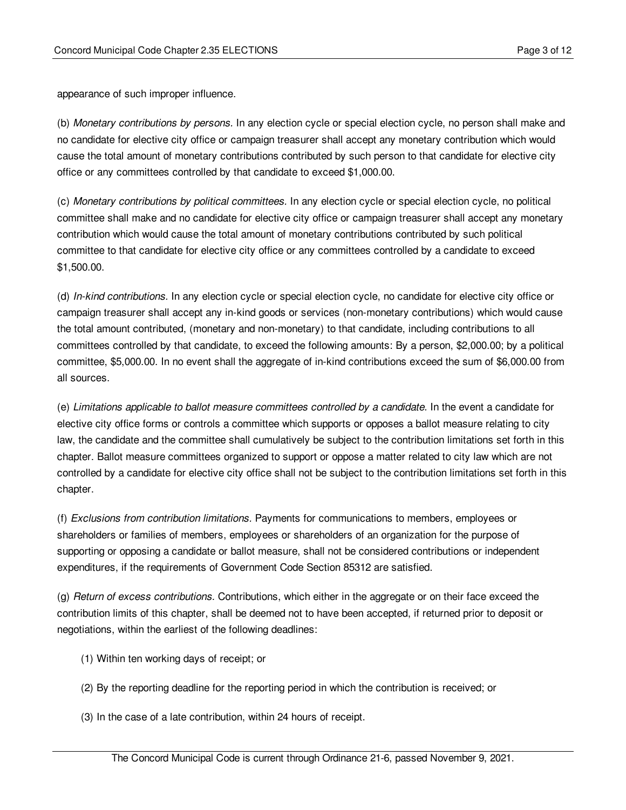appearance of such improper influence.

(b) *Monetary contributions by persons.* In any election cycle or special election cycle, no person shall make and no candidate for elective city office or campaign treasurer shall accept any monetary contribution which would cause the total amount of monetary contributions contributed by such person to that candidate for elective city office or any committees controlled by that candidate to exceed \$1,000.00.

(c) *Monetary contributions by political committees.* In any election cycle or special election cycle, no political committee shall make and no candidate for elective city office or campaign treasurer shall accept any monetary contribution which would cause the total amount of monetary contributions contributed by such political committee to that candidate for elective city office or any committees controlled by a candidate to exceed \$1,500.00.

(d) *In-kind contributions.* In any election cycle or special election cycle, no candidate for elective city office or campaign treasurer shall accept any in-kind goods or services (non-monetary contributions) which would cause the total amount contributed, (monetary and non-monetary) to that candidate, including contributions to all committees controlled by that candidate, to exceed the following amounts: By a person, \$2,000.00; by a political committee, \$5,000.00. In no event shall the aggregate of in-kind contributions exceed the sum of \$6,000.00 from all sources.

(e) *Limitations applicable to ballot measure committees controlled by a candidate.* In the event a candidate for elective city office forms or controls a committee which supports or opposes a ballot measure relating to city law, the candidate and the committee shall cumulatively be subject to the contribution limitations set forth in this chapter. Ballot measure committees organized to support or oppose a matter related to city law which are not controlled by a candidate for elective city office shall not be subject to the contribution limitations set forth in this chapter.

(f) *Exclusions from contribution limitations.* Payments for communications to members, employees or shareholders or families of members, employees or shareholders of an organization for the purpose of supporting or opposing a candidate or ballot measure, shall not be considered contributions or independent expenditures, if the requirements of Government Code Section 85312 are satisfied.

(g) *Return of excess contributions.* Contributions, which either in the aggregate or on their face exceed the contribution limits of this chapter, shall be deemed not to have been accepted, if returned prior to deposit or negotiations, within the earliest of the following deadlines:

- (1) Within ten working days of receipt; or
- (2) By the reporting deadline for the reporting period in which the contribution is received; or
- (3) In the case of a late contribution, within 24 hours of receipt.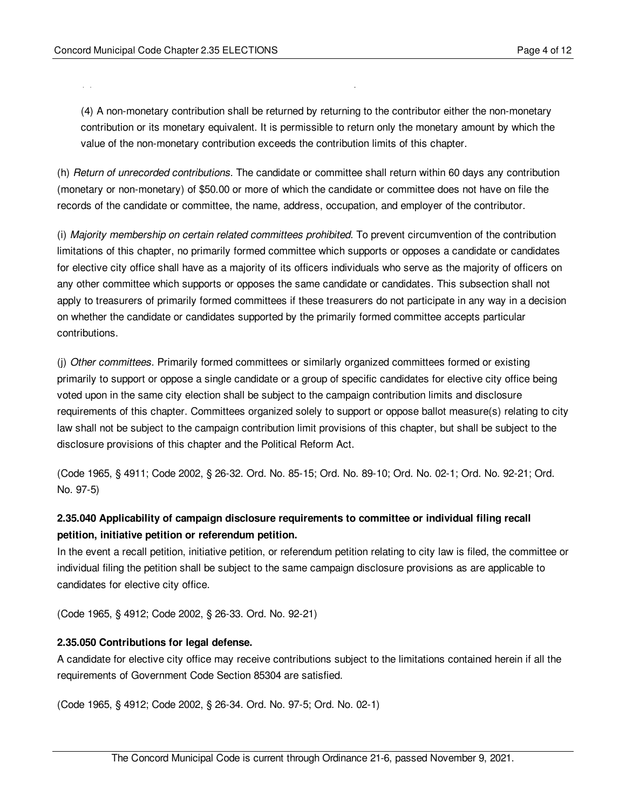$\mathcal{S}(\mathcal{S})$  In the case of a late contribution, with  $\mathcal{S}(\mathcal{S})$ 

(4) A non-monetary contribution shall be returned by returning to the contributor either the non-monetary contribution or its monetary equivalent. It is permissible to return only the monetary amount by which the value of the non-monetary contribution exceeds the contribution limits of this chapter.

(h) *Return of unrecorded contributions.* The candidate or committee shall return within 60 days any contribution (monetary or non-monetary) of \$50.00 or more of which the candidate or committee does not have on file the records of the candidate or committee, the name, address, occupation, and employer of the contributor.

(i) *Majority membership on certain related committees prohibited.* To prevent circumvention of the contribution limitations of this chapter, no primarily formed committee which supports or opposes a candidate or candidates for elective city office shall have as a majority of its officers individuals who serve as the majority of officers on any other committee which supports or opposes the same candidate or candidates. This subsection shall not apply to treasurers of primarily formed committees if these treasurers do not participate in any way in a decision on whether the candidate or candidates supported by the primarily formed committee accepts particular contributions.

(j) *Other committees.* Primarily formed committees or similarly organized committees formed or existing primarily to support or oppose a single candidate or a group of specific candidates for elective city office being voted upon in the same city election shall be subject to the campaign contribution limits and disclosure requirements of this chapter. Committees organized solely to support or oppose ballot measure(s) relating to city law shall not be subject to the campaign contribution limit provisions of this chapter, but shall be subject to the disclosure provisions of this chapter and the Political Reform Act.

(Code 1965, § 4911; Code 2002, § 26-32. Ord. No. 85-15; Ord. No. 89-10; Ord. No. 02-1; Ord. No. 92-21; Ord. No. 97-5)

# <span id="page-3-0"></span>**2.35.040 Applicability of campaign disclosure requirements to committee or individual filing recall petition, initiative petition or referendum petition.**

In the event a recall petition, initiative petition, or referendum petition relating to city law is filed, the committee or individual filing the petition shall be subject to the same campaign disclosure provisions as are applicable to candidates for elective city office.

(Code 1965, § 4912; Code 2002, § 26-33. Ord. No. 92-21)

## <span id="page-3-1"></span>**2.35.050 Contributions for legal defense.**

A candidate for elective city office may receive contributions subject to the limitations contained herein if all the requirements of Government Code Section 85304 are satisfied.

(Code 1965, § 4912; Code 2002, § 26-34. Ord. No. 97-5; Ord. No. 02-1)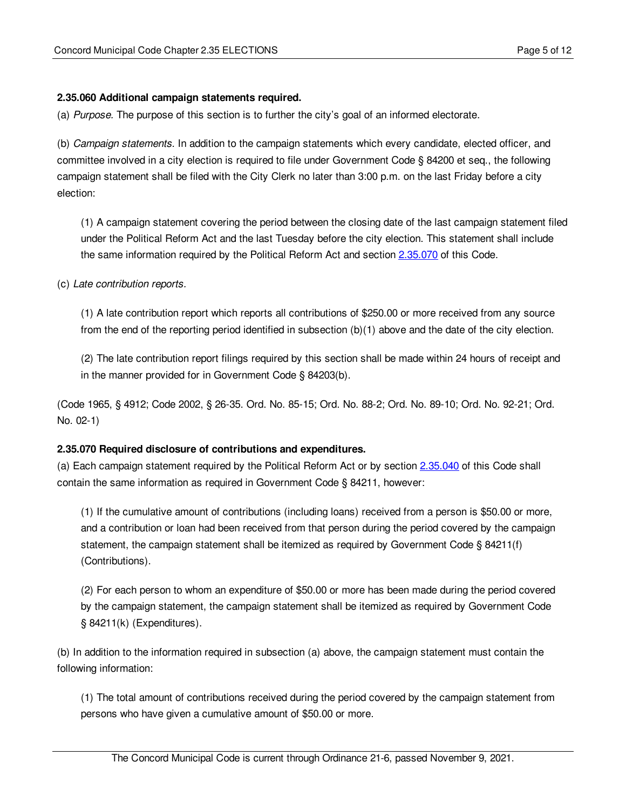## <span id="page-4-0"></span>**2.35.060 Additional campaign statements required.**

(a) *Purpose.* The purpose of this section is to further the city's goal of an informed electorate.

(b) *Campaign statements.* In addition to the campaign statements which every candidate, elected officer, and committee involved in a city election is required to file under Government Code § 84200 et seq., the following campaign statement shall be filed with the City Clerk no later than 3:00 p.m. on the last Friday before a city election:

(1) A campaign statement covering the period between the closing date of the last campaign statement filed under the Political Reform Act and the last Tuesday before the city election. This statement shall include the same information required by the Political Reform Act and section [2.35.070](#page-4-1) of this Code.

(c) *Late contribution reports.*

(1) A late contribution report which reports all contributions of \$250.00 or more received from any source from the end of the reporting period identified in subsection (b)(1) above and the date of the city election.

(2) The late contribution report filings required by this section shall be made within 24 hours of receipt and in the manner provided for in Government Code § 84203(b).

(Code 1965, § 4912; Code 2002, § 26-35. Ord. No. 85-15; Ord. No. 88-2; Ord. No. 89-10; Ord. No. 92-21; Ord. No. 02-1)

#### <span id="page-4-1"></span>**2.35.070 Required disclosure of contributions and expenditures.**

(a) Each campaign statement required by the Political Reform Act or by section [2.35.040](#page-3-0) of this Code shall contain the same information as required in Government Code § 84211, however:

(1) If the cumulative amount of contributions (including loans) received from a person is \$50.00 or more, and a contribution or loan had been received from that person during the period covered by the campaign statement, the campaign statement shall be itemized as required by Government Code § 84211(f) (Contributions).

(2) For each person to whom an expenditure of \$50.00 or more has been made during the period covered by the campaign statement, the campaign statement shall be itemized as required by Government Code § 84211(k) (Expenditures).

(b) In addition to the information required in subsection (a) above, the campaign statement must contain the following information:

(1) The total amount of contributions received during the period covered by the campaign statement from persons who have given a cumulative amount of \$50.00 or more.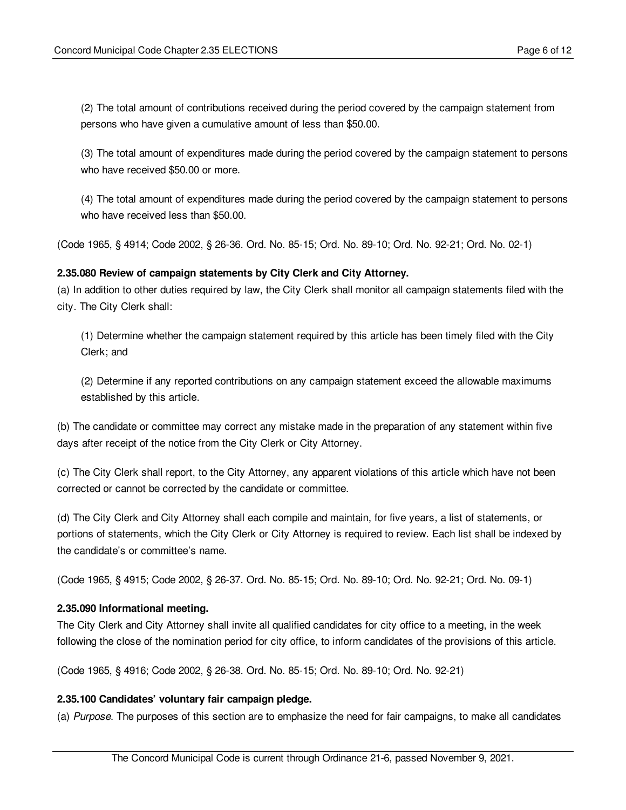(2) The total amount of contributions received during the period covered by the campaign statement from persons who have given a cumulative amount of less than \$50.00.

(3) The total amount of expenditures made during the period covered by the campaign statement to persons who have received \$50.00 or more.

(4) The total amount of expenditures made during the period covered by the campaign statement to persons who have received less than \$50.00.

(Code 1965, § 4914; Code 2002, § 26-36. Ord. No. 85-15; Ord. No. 89-10; Ord. No. 92-21; Ord. No. 02-1)

## <span id="page-5-0"></span>**2.35.080 Review of campaign statements by City Clerk and City Attorney.**

(a) In addition to other duties required by law, the City Clerk shall monitor all campaign statements filed with the city. The City Clerk shall:

(1) Determine whether the campaign statement required by this article has been timely filed with the City Clerk; and

(2) Determine if any reported contributions on any campaign statement exceed the allowable maximums established by this article.

(b) The candidate or committee may correct any mistake made in the preparation of any statement within five days after receipt of the notice from the City Clerk or City Attorney.

(c) The City Clerk shall report, to the City Attorney, any apparent violations of this article which have not been corrected or cannot be corrected by the candidate or committee.

(d) The City Clerk and City Attorney shall each compile and maintain, for five years, a list of statements, or portions of statements, which the City Clerk or City Attorney is required to review. Each list shall be indexed by the candidate's or committee's name.

(Code 1965, § 4915; Code 2002, § 26-37. Ord. No. 85-15; Ord. No. 89-10; Ord. No. 92-21; Ord. No. 09-1)

#### <span id="page-5-1"></span>**2.35.090 Informational meeting.**

The City Clerk and City Attorney shall invite all qualified candidates for city office to a meeting, in the week following the close of the nomination period for city office, to inform candidates of the provisions of this article.

(Code 1965, § 4916; Code 2002, § 26-38. Ord. No. 85-15; Ord. No. 89-10; Ord. No. 92-21)

#### <span id="page-5-2"></span>**2.35.100 Candidates' voluntary fair campaign pledge.**

(a) *Purpose.* The purposes of this section are to emphasize the need for fair campaigns, to make all candidates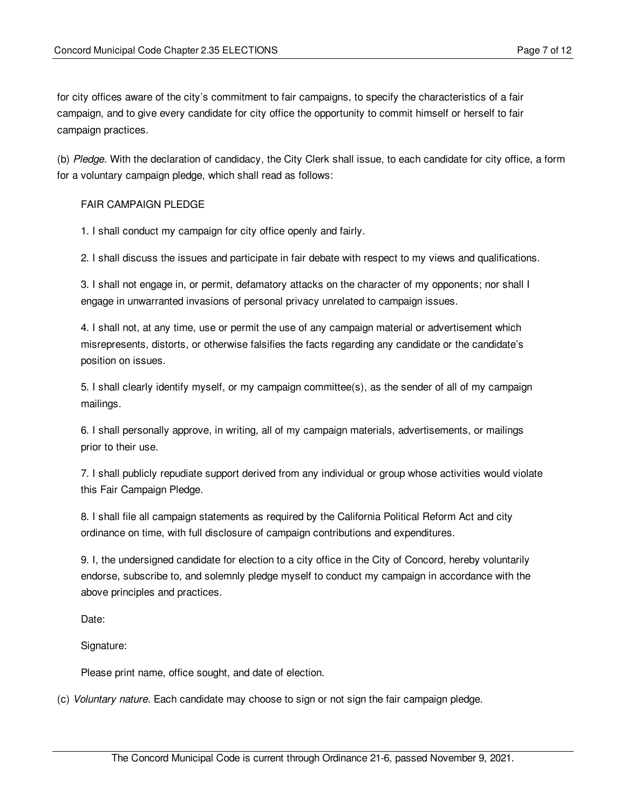for city offices aware of the city's commitment to fair campaigns, to specify the characteristics of a fair campaign, and to give every candidate for city office the opportunity to commit himself or herself to fair campaign practices.

(b) *Pledge.* With the declaration of candidacy, the City Clerk shall issue, to each candidate for city office, a form for a voluntary campaign pledge, which shall read as follows:

### FAIR CAMPAIGN PLEDGE

1. I shall conduct my campaign for city office openly and fairly.

2. I shall discuss the issues and participate in fair debate with respect to my views and qualifications.

3. I shall not engage in, or permit, defamatory attacks on the character of my opponents; nor shall I engage in unwarranted invasions of personal privacy unrelated to campaign issues.

4. I shall not, at any time, use or permit the use of any campaign material or advertisement which misrepresents, distorts, or otherwise falsifies the facts regarding any candidate or the candidate's position on issues.

5. I shall clearly identify myself, or my campaign committee(s), as the sender of all of my campaign mailings.

6. I shall personally approve, in writing, all of my campaign materials, advertisements, or mailings prior to their use.

7. I shall publicly repudiate support derived from any individual or group whose activities would violate this Fair Campaign Pledge.

8. I shall file all campaign statements as required by the California Political Reform Act and city ordinance on time, with full disclosure of campaign contributions and expenditures.

9. I, the undersigned candidate for election to a city office in the City of Concord, hereby voluntarily endorse, subscribe to, and solemnly pledge myself to conduct my campaign in accordance with the above principles and practices.

Date:

Signature:

Please print name, office sought, and date of election.

(c) *Voluntary nature.* Each candidate may choose to sign or not sign the fair campaign pledge.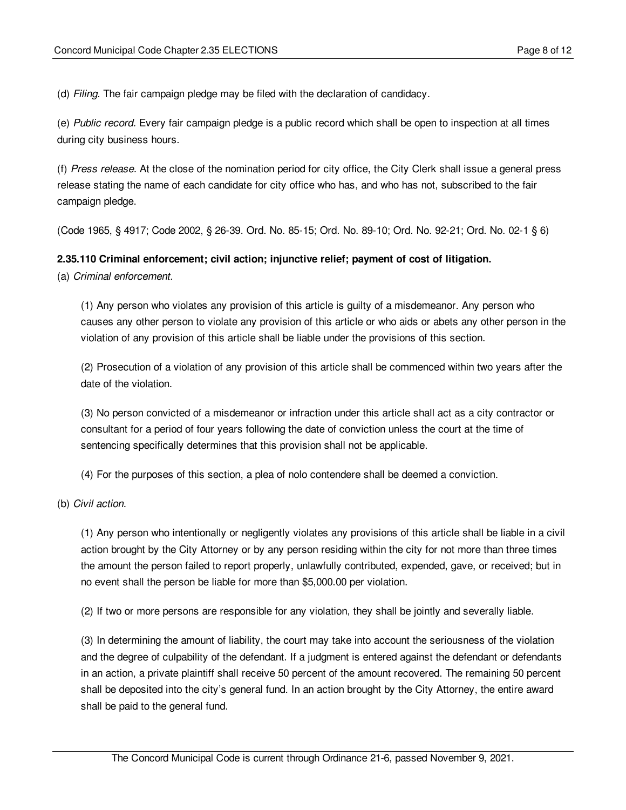(d) *Filing.* The fair campaign pledge may be filed with the declaration of candidacy.

(e) *Public record.* Every fair campaign pledge is a public record which shall be open to inspection at all times during city business hours.

(f) *Press release.* At the close of the nomination period for city office, the City Clerk shall issue a general press release stating the name of each candidate for city office who has, and who has not, subscribed to the fair campaign pledge.

(Code 1965, § 4917; Code 2002, § 26-39. Ord. No. 85-15; Ord. No. 89-10; Ord. No. 92-21; Ord. No. 02-1 § 6)

#### <span id="page-7-0"></span>**2.35.110 Criminal enforcement; civil action; injunctive relief; payment of cost of litigation.**

(a) *Criminal enforcement.*

(1) Any person who violates any provision of this article is guilty of a misdemeanor. Any person who causes any other person to violate any provision of this article or who aids or abets any other person in the violation of any provision of this article shall be liable under the provisions of this section.

(2) Prosecution of a violation of any provision of this article shall be commenced within two years after the date of the violation.

(3) No person convicted of a misdemeanor or infraction under this article shall act as a city contractor or consultant for a period of four years following the date of conviction unless the court at the time of sentencing specifically determines that this provision shall not be applicable.

(4) For the purposes of this section, a plea of nolo contendere shall be deemed a conviction.

(b) *Civil action.*

(1) Any person who intentionally or negligently violates any provisions of this article shall be liable in a civil action brought by the City Attorney or by any person residing within the city for not more than three times the amount the person failed to report properly, unlawfully contributed, expended, gave, or received; but in no event shall the person be liable for more than \$5,000.00 per violation.

(2) If two or more persons are responsible for any violation, they shall be jointly and severally liable.

(3) In determining the amount of liability, the court may take into account the seriousness of the violation and the degree of culpability of the defendant. If a judgment is entered against the defendant or defendants in an action, a private plaintiff shall receive 50 percent of the amount recovered. The remaining 50 percent shall be deposited into the city's general fund. In an action brought by the City Attorney, the entire award shall be paid to the general fund.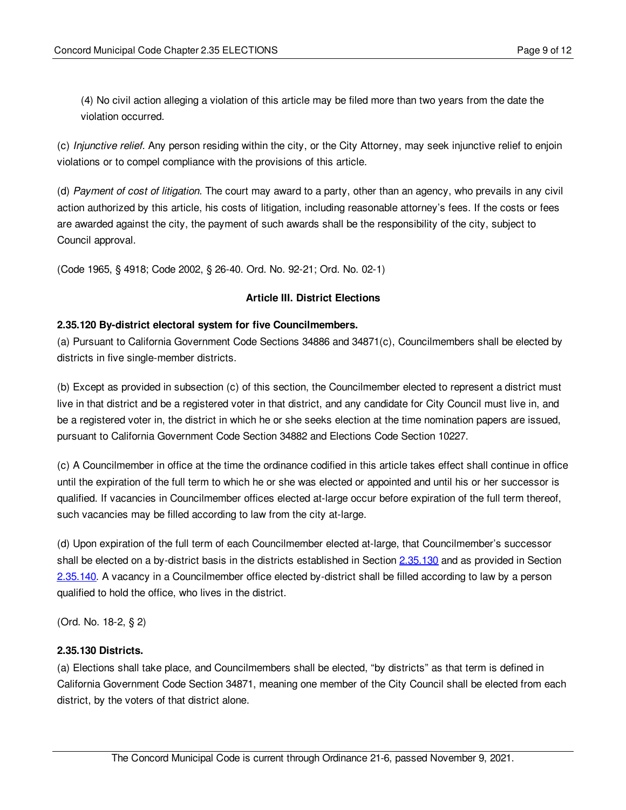(4) No civil action alleging a violation of this article may be filed more than two years from the date the violation occurred.

(c) *Injunctive relief.* Any person residing within the city, or the City Attorney, may seek injunctive relief to enjoin violations or to compel compliance with the provisions of this article.

(d) *Payment of cost of litigation.* The court may award to a party, other than an agency, who prevails in any civil action authorized by this article, his costs of litigation, including reasonable attorney's fees. If the costs or fees are awarded against the city, the payment of such awards shall be the responsibility of the city, subject to Council approval.

(Code 1965, § 4918; Code 2002, § 26-40. Ord. No. 92-21; Ord. No. 02-1)

## **Article III. District Elections**

## <span id="page-8-0"></span>**2.35.120 By-district electoral system for five Councilmembers.**

(a) Pursuant to California Government Code Sections 34886 and 34871(c), Councilmembers shall be elected by districts in five single-member districts.

(b) Except as provided in subsection (c) of this section, the Councilmember elected to represent a district must live in that district and be a registered voter in that district, and any candidate for City Council must live in, and be a registered voter in, the district in which he or she seeks election at the time nomination papers are issued, pursuant to California Government Code Section 34882 and Elections Code Section 10227.

(c) A Councilmember in office at the time the ordinance codified in this article takes effect shall continue in office until the expiration of the full term to which he or she was elected or appointed and until his or her successor is qualified. If vacancies in Councilmember offices elected at-large occur before expiration of the full term thereof, such vacancies may be filled according to law from the city at-large.

(d) Upon expiration of the full term of each Councilmember elected at-large, that Councilmember's successor shall be elected on a by-district basis in the districts established in Section [2.35.130](#page-8-1) and as provided in Section [2.35.140.](#page-11-0) A vacancy in a Councilmember office elected by-district shall be filled according to law by a person qualified to hold the office, who lives in the district.

(Ord. No. 18-2, § 2)

## <span id="page-8-1"></span>**2.35.130 Districts.**

(a) Elections shall take place, and Councilmembers shall be elected, "by districts" as that term is defined in California Government Code Section 34871, meaning one member of the City Council shall be elected from each district, by the voters of that district alone.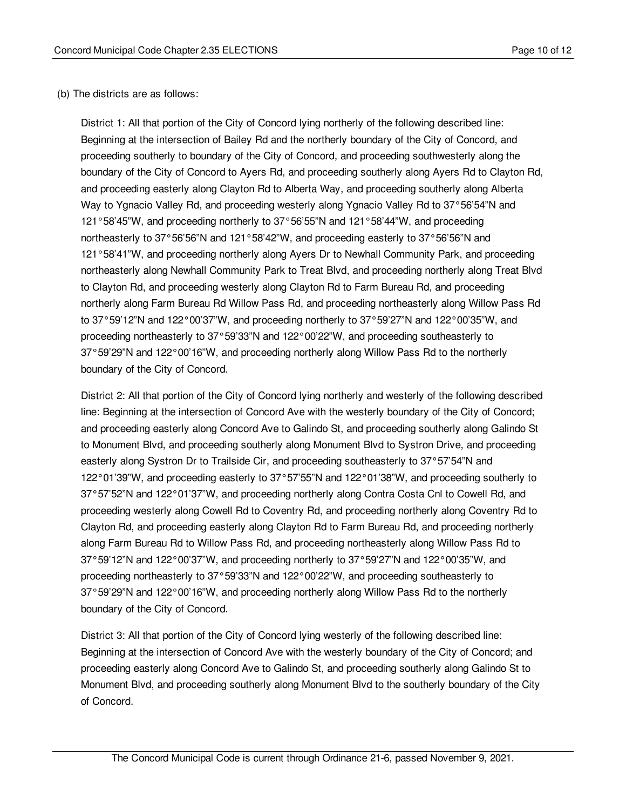## (b) The districts are as follows:

District 1: All that portion of the City of Concord lying northerly of the following described line: Beginning at the intersection of Bailey Rd and the northerly boundary of the City of Concord, and proceeding southerly to boundary of the City of Concord, and proceeding southwesterly along the boundary of the City of Concord to Ayers Rd, and proceeding southerly along Ayers Rd to Clayton Rd, and proceeding easterly along Clayton Rd to Alberta Way, and proceeding southerly along Alberta Way to Ygnacio Valley Rd, and proceeding westerly along Ygnacio Valley Rd to 37°56'54"N and 121°58'45"W, and proceeding northerly to 37°56'55"N and 121°58'44"W, and proceeding northeasterly to 37°56'56"N and 121°58'42"W, and proceeding easterly to 37°56'56"N and 121°58'41"W, and proceeding northerly along Ayers Dr to Newhall Community Park, and proceeding northeasterly along Newhall Community Park to Treat Blvd, and proceeding northerly along Treat Blvd to Clayton Rd, and proceeding westerly along Clayton Rd to Farm Bureau Rd, and proceeding northerly along Farm Bureau Rd Willow Pass Rd, and proceeding northeasterly along Willow Pass Rd to 37°59'12"N and 122°00'37"W, and proceeding northerly to 37°59'27"N and 122°00'35"W, and proceeding northeasterly to 37°59'33"N and 122°00'22"W, and proceeding southeasterly to 37°59'29"N and 122°00'16"W, and proceeding northerly along Willow Pass Rd to the northerly boundary of the City of Concord.

District 2: All that portion of the City of Concord lying northerly and westerly of the following described line: Beginning at the intersection of Concord Ave with the westerly boundary of the City of Concord; and proceeding easterly along Concord Ave to Galindo St, and proceeding southerly along Galindo St to Monument Blvd, and proceeding southerly along Monument Blvd to Systron Drive, and proceeding easterly along Systron Dr to Trailside Cir, and proceeding southeasterly to 37°57'54"N and 122°01'39"W, and proceeding easterly to 37°57'55"N and 122°01'38"W, and proceeding southerly to 37°57'52"N and 122°01'37"W, and proceeding northerly along Contra Costa Cnl to Cowell Rd, and proceeding westerly along Cowell Rd to Coventry Rd, and proceeding northerly along Coventry Rd to Clayton Rd, and proceeding easterly along Clayton Rd to Farm Bureau Rd, and proceeding northerly along Farm Bureau Rd to Willow Pass Rd, and proceeding northeasterly along Willow Pass Rd to 37°59'12"N and 122°00'37"W, and proceeding northerly to 37°59'27"N and 122°00'35"W, and proceeding northeasterly to 37°59'33"N and 122°00'22"W, and proceeding southeasterly to 37°59'29"N and 122°00'16"W, and proceeding northerly along Willow Pass Rd to the northerly boundary of the City of Concord.

District 3: All that portion of the City of Concord lying westerly of the following described line: Beginning at the intersection of Concord Ave with the westerly boundary of the City of Concord; and proceeding easterly along Concord Ave to Galindo St, and proceeding southerly along Galindo St to Monument Blvd, and proceeding southerly along Monument Blvd to the southerly boundary of the City of Concord.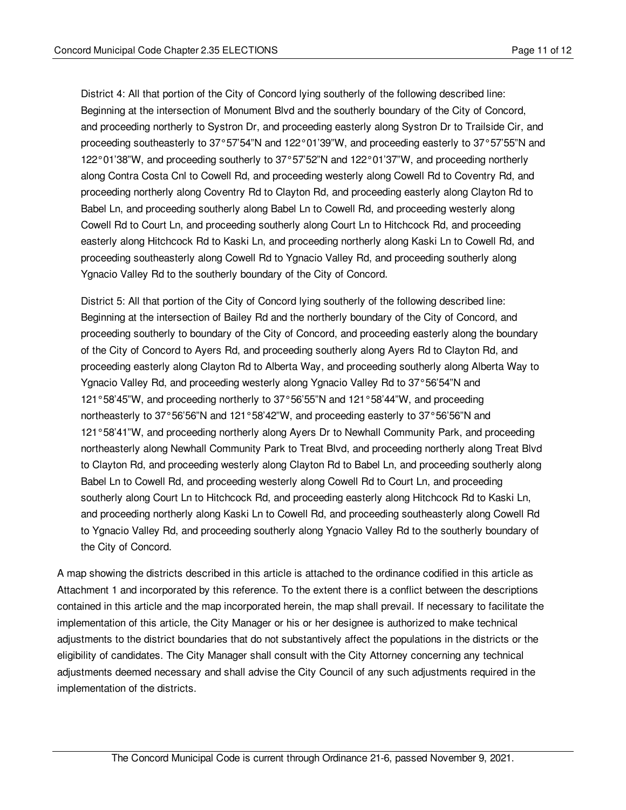District 4: All that portion of the City of Concord lying southerly of the following described line: Beginning at the intersection of Monument Blvd and the southerly boundary of the City of Concord, and proceeding northerly to Systron Dr, and proceeding easterly along Systron Dr to Trailside Cir, and proceeding southeasterly to 37°57'54"N and 122°01'39"W, and proceeding easterly to 37°57'55"N and 122°01'38"W, and proceeding southerly to 37°57'52"N and 122°01'37"W, and proceeding northerly along Contra Costa Cnl to Cowell Rd, and proceeding westerly along Cowell Rd to Coventry Rd, and proceeding northerly along Coventry Rd to Clayton Rd, and proceeding easterly along Clayton Rd to Babel Ln, and proceeding southerly along Babel Ln to Cowell Rd, and proceeding westerly along Cowell Rd to Court Ln, and proceeding southerly along Court Ln to Hitchcock Rd, and proceeding easterly along Hitchcock Rd to Kaski Ln, and proceeding northerly along Kaski Ln to Cowell Rd, and proceeding southeasterly along Cowell Rd to Ygnacio Valley Rd, and proceeding southerly along Ygnacio Valley Rd to the southerly boundary of the City of Concord.

District 5: All that portion of the City of Concord lying southerly of the following described line: Beginning at the intersection of Bailey Rd and the northerly boundary of the City of Concord, and proceeding southerly to boundary of the City of Concord, and proceeding easterly along the boundary of the City of Concord to Ayers Rd, and proceeding southerly along Ayers Rd to Clayton Rd, and proceeding easterly along Clayton Rd to Alberta Way, and proceeding southerly along Alberta Way to Ygnacio Valley Rd, and proceeding westerly along Ygnacio Valley Rd to 37°56'54"N and 121°58'45"W, and proceeding northerly to 37°56'55"N and 121°58'44"W, and proceeding northeasterly to 37°56'56"N and 121°58'42"W, and proceeding easterly to 37°56'56"N and 121°58'41"W, and proceeding northerly along Ayers Dr to Newhall Community Park, and proceeding northeasterly along Newhall Community Park to Treat Blvd, and proceeding northerly along Treat Blvd to Clayton Rd, and proceeding westerly along Clayton Rd to Babel Ln, and proceeding southerly along Babel Ln to Cowell Rd, and proceeding westerly along Cowell Rd to Court Ln, and proceeding southerly along Court Ln to Hitchcock Rd, and proceeding easterly along Hitchcock Rd to Kaski Ln, and proceeding northerly along Kaski Ln to Cowell Rd, and proceeding southeasterly along Cowell Rd to Ygnacio Valley Rd, and proceeding southerly along Ygnacio Valley Rd to the southerly boundary of the City of Concord.

A map showing the districts described in this article is attached to the ordinance codified in this article as Attachment 1 and incorporated by this reference. To the extent there is a conflict between the descriptions contained in this article and the map incorporated herein, the map shall prevail. If necessary to facilitate the implementation of this article, the City Manager or his or her designee is authorized to make technical adjustments to the district boundaries that do not substantively affect the populations in the districts or the eligibility of candidates. The City Manager shall consult with the City Attorney concerning any technical adjustments deemed necessary and shall advise the City Council of any such adjustments required in the implementation of the districts.